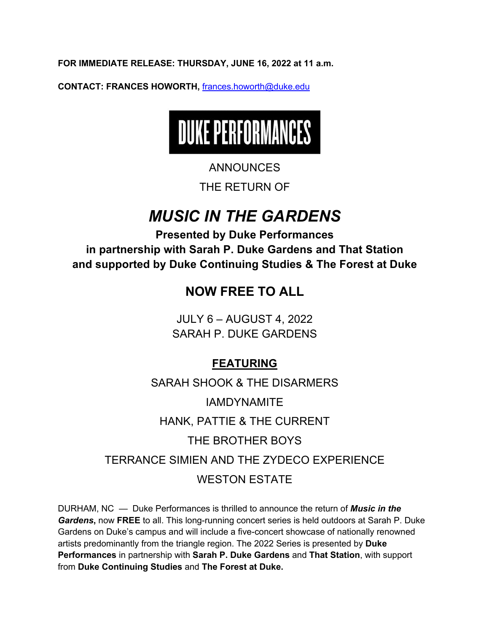**FOR IMMEDIATE RELEASE: THURSDAY, JUNE 16, 2022 at 11 a.m.**

**CONTACT: FRANCES HOWORTH,** frances.howorth@duke.edu



### ANNOUNCES

THE RETURN OF

# *MUSIC IN THE GARDENS*

**Presented by Duke Performances in partnership with Sarah P. Duke Gardens and That Station and supported by Duke Continuing Studies & The Forest at Duke**

## **NOW FREE TO ALL**

JULY 6 – AUGUST 4, 2022 SARAH P. DUKE GARDENS

### **FEATURING**

SARAH SHOOK & THE DISARMERS IAMDYNAMITE HANK, PATTIE & THE CURRENT THE BROTHER BOYS TERRANCE SIMIEN AND THE ZYDECO EXPERIENCE WESTON ESTATE

DURHAM, NC — Duke Performances is thrilled to announce the return of *Music in the Gardens***,** now **FREE** to all. This long-running concert series is held outdoors at Sarah P. Duke Gardens on Duke's campus and will include a five-concert showcase of nationally renowned artists predominantly from the triangle region. The 2022 Series is presented by **Duke Performances** in partnership with **Sarah P. Duke Gardens** and **That Station**, with support from **Duke Continuing Studies** and **The Forest at Duke.**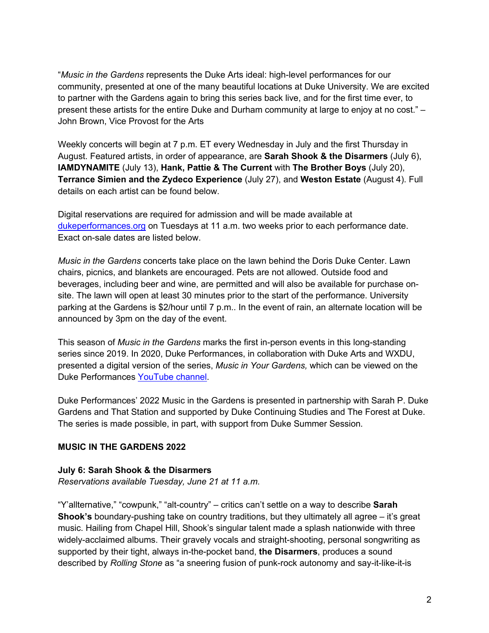"*Music in the Gardens* represents the Duke Arts ideal: high-level performances for our community, presented at one of the many beautiful locations at Duke University. We are excited to partner with the Gardens again to bring this series back live, and for the first time ever, to present these artists for the entire Duke and Durham community at large to enjoy at no cost." – John Brown, Vice Provost for the Arts

Weekly concerts will begin at 7 p.m. ET every Wednesday in July and the first Thursday in August. Featured artists, in order of appearance, are **Sarah Shook & the Disarmers** (July 6), **IAMDYNAMITE** (July 13), **Hank, Pattie & The Current** with **The Brother Boys** (July 20), **Terrance Simien and the Zydeco Experience** (July 27), and **Weston Estate** (August 4). Full details on each artist can be found below.

Digital reservations are required for admission and will be made available at dukeperformances.org on Tuesdays at 11 a.m. two weeks prior to each performance date. Exact on-sale dates are listed below.

*Music in the Gardens* concerts take place on the lawn behind the Doris Duke Center. Lawn chairs, picnics, and blankets are encouraged. Pets are not allowed. Outside food and beverages, including beer and wine, are permitted and will also be available for purchase onsite. The lawn will open at least 30 minutes prior to the start of the performance. University parking at the Gardens is \$2/hour until 7 p.m.. In the event of rain, an alternate location will be announced by 3pm on the day of the event.

This season of *Music in the Gardens* marks the first in-person events in this long-standing series since 2019. In 2020, Duke Performances, in collaboration with Duke Arts and WXDU, presented a digital version of the series, *Music in Your Gardens,* which can be viewed on the Duke Performances YouTube channel.

Duke Performances' 2022 Music in the Gardens is presented in partnership with Sarah P. Duke Gardens and That Station and supported by Duke Continuing Studies and The Forest at Duke. The series is made possible, in part, with support from Duke Summer Session.

#### **MUSIC IN THE GARDENS 2022**

#### **July 6: Sarah Shook & the Disarmers**

*Reservations available Tuesday, June 21 at 11 a.m.*

"Y'allternative," "cowpunk," "alt-country" – critics can't settle on a way to describe **Sarah Shook's** boundary-pushing take on country traditions, but they ultimately all agree – it's great music. Hailing from Chapel Hill, Shook's singular talent made a splash nationwide with three widely-acclaimed albums. Their gravely vocals and straight-shooting, personal songwriting as supported by their tight, always in-the-pocket band, **the Disarmers**, produces a sound described by *Rolling Stone* as "a sneering fusion of punk-rock autonomy and say-it-like-it-is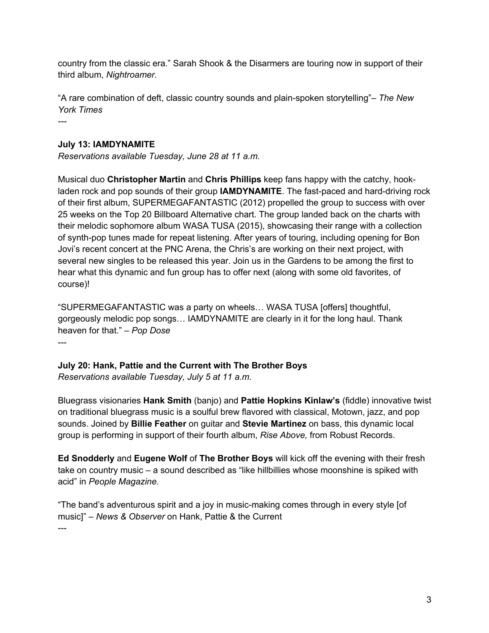country from the classic era." Sarah Shook & the Disarmers are touring now in support of their third album, *Nightroamer.*

"A rare combination of deft, classic country sounds and plain-spoken storytelling"– *The New York Times*

*---*

#### **July 13: IAMDYNAMITE**

*Reservations available Tuesday, June 28 at 11 a.m.*

Musical duo **Christopher Martin** and **Chris Phillips** keep fans happy with the catchy, hookladen rock and pop sounds of their group **IAMDYNAMITE**. The fast-paced and hard-driving rock of their first album, SUPERMEGAFANTASTIC (2012) propelled the group to success with over 25 weeks on the Top 20 Billboard Alternative chart. The group landed back on the charts with their melodic sophomore album WASA TUSA (2015), showcasing their range with a collection of synth-pop tunes made for repeat listening. After years of touring, including opening for Bon Jovi's recent concert at the PNC Arena, the Chris's are working on their next project, with several new singles to be released this year. Join us in the Gardens to be among the first to hear what this dynamic and fun group has to offer next (along with some old favorites, of course)!

"SUPERMEGAFANTASTIC was a party on wheels… WASA TUSA [offers] thoughtful, gorgeously melodic pop songs… IAMDYNAMITE are clearly in it for the long haul. Thank heaven for that." – *Pop Dose* ---

**July 20: Hank, Pattie and the Current with The Brother Boys** *Reservations available Tuesday, July 5 at 11 a.m.*

Bluegrass visionaries **Hank Smith** (banjo) and **Pattie Hopkins Kinlaw's** (fiddle) innovative twist on traditional bluegrass music is a soulful brew flavored with classical, Motown, jazz, and pop sounds. Joined by **Billie Feather** on guitar and **Stevie Martinez** on bass, this dynamic local group is performing in support of their fourth album, *Rise Above,* from Robust Records.

**Ed Snodderly** and **Eugene Wolf** of **The Brother Boys** will kick off the evening with their fresh take on country music – a sound described as "like hillbillies whose moonshine is spiked with acid" in *People Magazine.*

"The band's adventurous spirit and a joy in music-making comes through in every style [of music]" – *News & Observer* on Hank, Pattie & the Current ---